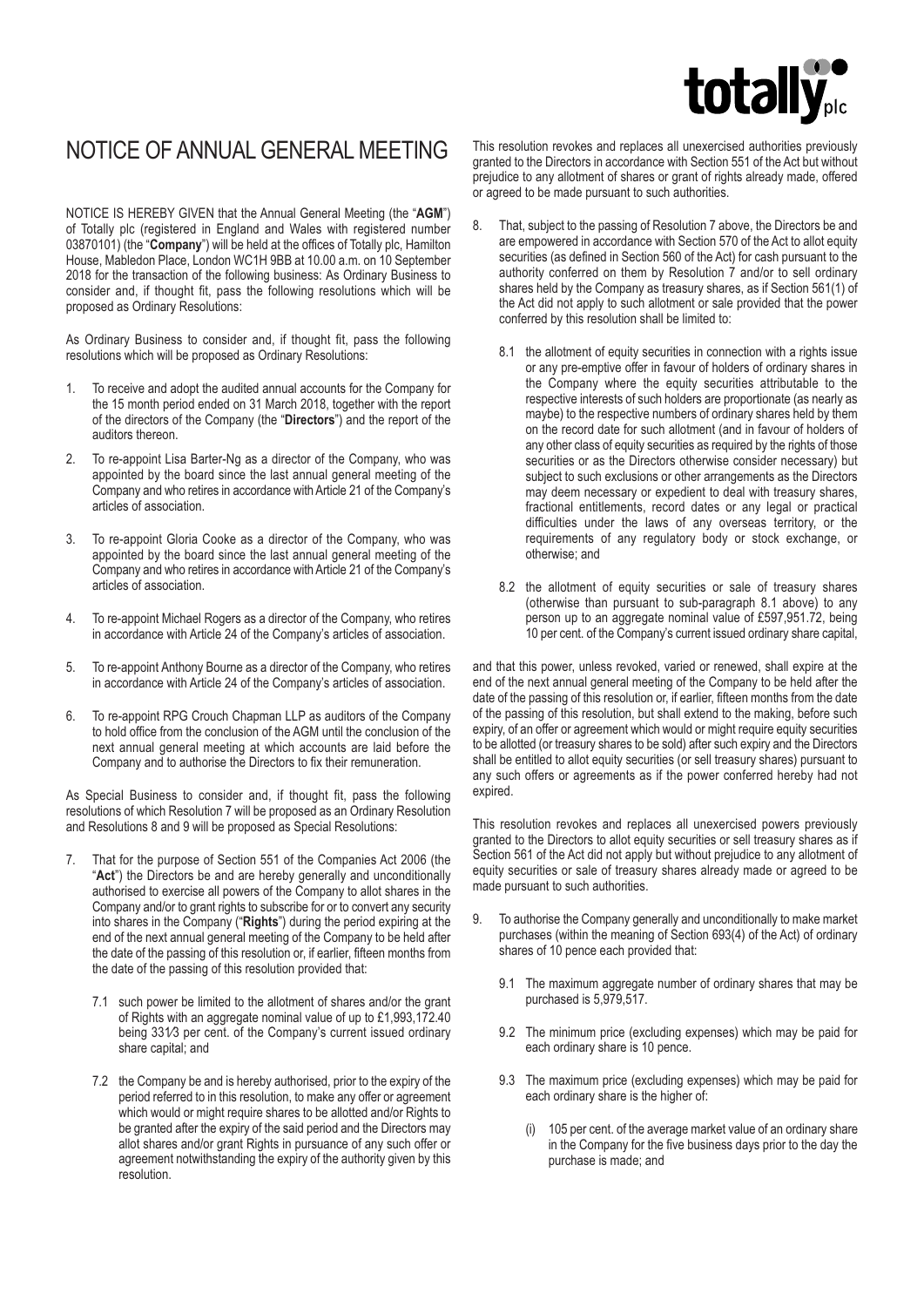# totally

# NOTICE OF ANNUAL GENERAL MEETING

NOTICE IS HEREBY GIVEN that the Annual General Meeting (the "**AGM**") of Totally plc (registered in England and Wales with registered number 03870101) (the "**Company**") will be held at the offices of Totally plc, Hamilton House, Mabledon Place, London WC1H 9BB at 10.00 a.m. on 10 September 2018 for the transaction of the following business: As Ordinary Business to consider and, if thought fit, pass the following resolutions which will be proposed as Ordinary Resolutions:

As Ordinary Business to consider and, if thought fit, pass the following resolutions which will be proposed as Ordinary Resolutions:

- 1. To receive and adopt the audited annual accounts for the Company for the 15 month period ended on 31 March 2018, together with the report of the directors of the Company (the "**Directors**") and the report of the auditors thereon.
- 2. To re-appoint Lisa Barter-Ng as a director of the Company, who was appointed by the board since the last annual general meeting of the Company and who retires in accordance with Article 21 of the Company's articles of association.
- 3. To re-appoint Gloria Cooke as a director of the Company, who was appointed by the board since the last annual general meeting of the Company and who retires in accordance with Article 21 of the Company's articles of association.
- 4. To re-appoint Michael Rogers as a director of the Company, who retires in accordance with Article 24 of the Company's articles of association.
- 5. To re-appoint Anthony Bourne as a director of the Company, who retires in accordance with Article 24 of the Company's articles of association.
- 6. To re-appoint RPG Crouch Chapman LLP as auditors of the Company to hold office from the conclusion of the AGM until the conclusion of the next annual general meeting at which accounts are laid before the Company and to authorise the Directors to fix their remuneration.

As Special Business to consider and, if thought fit, pass the following resolutions of which Resolution 7 will be proposed as an Ordinary Resolution and Resolutions 8 and 9 will be proposed as Special Resolutions:

- 7. That for the purpose of Section 551 of the Companies Act 2006 (the "**Act**") the Directors be and are hereby generally and unconditionally authorised to exercise all powers of the Company to allot shares in the Company and/or to grant rights to subscribe for or to convert any security into shares in the Company ("**Rights**") during the period expiring at the end of the next annual general meeting of the Company to be held after the date of the passing of this resolution or, if earlier, fifteen months from the date of the passing of this resolution provided that:
	- 7.1 such power be limited to the allotment of shares and/or the grant of Rights with an aggregate nominal value of up to £1,993,172.40 being 331⁄3 per cent. of the Company's current issued ordinary share capital; and
	- 7.2 the Company be and is hereby authorised, prior to the expiry of the period referred to in this resolution, to make any offer or agreement which would or might require shares to be allotted and/or Rights to be granted after the expiry of the said period and the Directors may allot shares and/or grant Rights in pursuance of any such offer or agreement notwithstanding the expiry of the authority given by this resolution.

This resolution revokes and replaces all unexercised authorities previously granted to the Directors in accordance with Section 551 of the Act but without prejudice to any allotment of shares or grant of rights already made, offered or agreed to be made pursuant to such authorities.

- That, subject to the passing of Resolution 7 above, the Directors be and are empowered in accordance with Section 570 of the Act to allot equity securities (as defined in Section 560 of the Act) for cash pursuant to the authority conferred on them by Resolution 7 and/or to sell ordinary shares held by the Company as treasury shares, as if Section 561(1) of the Act did not apply to such allotment or sale provided that the power conferred by this resolution shall be limited to:
	- 8.1 the allotment of equity securities in connection with a rights issue or any pre-emptive offer in favour of holders of ordinary shares in the Company where the equity securities attributable to the respective interests of such holders are proportionate (as nearly as maybe) to the respective numbers of ordinary shares held by them on the record date for such allotment (and in favour of holders of any other class of equity securities as required by the rights of those securities or as the Directors otherwise consider necessary) but subject to such exclusions or other arrangements as the Directors may deem necessary or expedient to deal with treasury shares, fractional entitlements, record dates or any legal or practical difficulties under the laws of any overseas territory, or the requirements of any regulatory body or stock exchange, or otherwise; and
	- 8.2 the allotment of equity securities or sale of treasury shares (otherwise than pursuant to sub-paragraph 8.1 above) to any person up to an aggregate nominal value of £597,951.72, being 10 per cent. of the Company's current issued ordinary share capital,

and that this power, unless revoked, varied or renewed, shall expire at the end of the next annual general meeting of the Company to be held after the date of the passing of this resolution or, if earlier, fifteen months from the date of the passing of this resolution, but shall extend to the making, before such expiry, of an offer or agreement which would or might require equity securities to be allotted (or treasury shares to be sold) after such expiry and the Directors shall be entitled to allot equity securities (or sell treasury shares) pursuant to any such offers or agreements as if the power conferred hereby had not expired.

This resolution revokes and replaces all unexercised powers previously granted to the Directors to allot equity securities or sell treasury shares as if Section 561 of the Act did not apply but without prejudice to any allotment of equity securities or sale of treasury shares already made or agreed to be made pursuant to such authorities.

- 9. To authorise the Company generally and unconditionally to make market purchases (within the meaning of Section 693(4) of the Act) of ordinary shares of 10 pence each provided that:
	- 9.1 The maximum aggregate number of ordinary shares that may be purchased is 5,979,517.
	- 9.2 The minimum price (excluding expenses) which may be paid for each ordinary share is 10 pence.
	- 9.3 The maximum price (excluding expenses) which may be paid for each ordinary share is the higher of:
		- 105 per cent. of the average market value of an ordinary share in the Company for the five business days prior to the day the purchase is made; and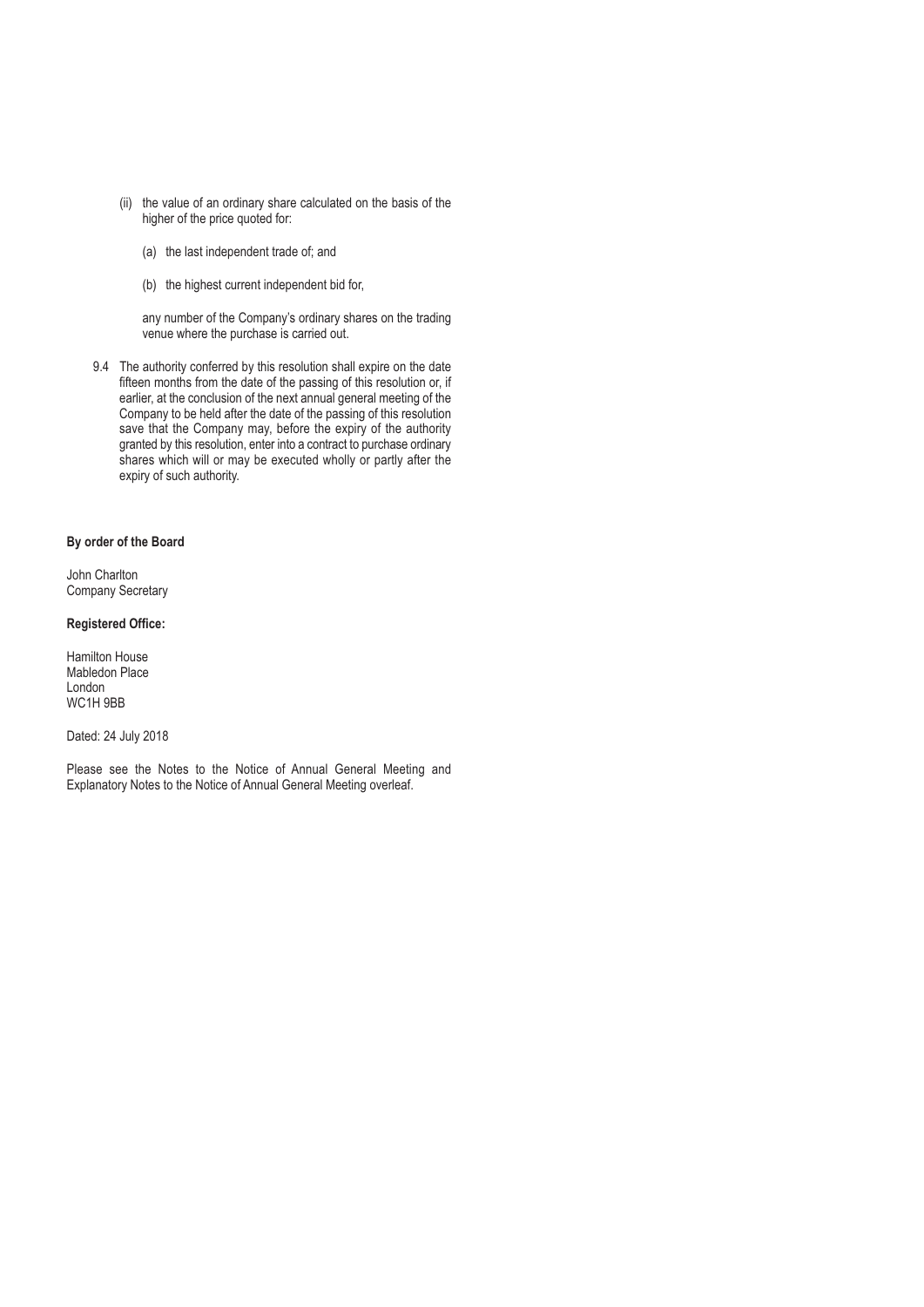- (ii) the value of an ordinary share calculated on the basis of the higher of the price quoted for:
	- (a) the last independent trade of; and
	- (b) the highest current independent bid for,

 any number of the Company's ordinary shares on the trading venue where the purchase is carried out.

9.4 The authority conferred by this resolution shall expire on the date fifteen months from the date of the passing of this resolution or, if earlier, at the conclusion of the next annual general meeting of the Company to be held after the date of the passing of this resolution save that the Company may, before the expiry of the authority granted by this resolution, enter into a contract to purchase ordinary shares which will or may be executed wholly or partly after the expiry of such authority.

## **By order of the Board**

John Charlton Company Secretary

## **Registered Office:**

Hamilton House Mabledon Place London WC1H 9BB

Dated: 24 July 2018

Please see the Notes to the Notice of Annual General Meeting and Explanatory Notes to the Notice of Annual General Meeting overleaf.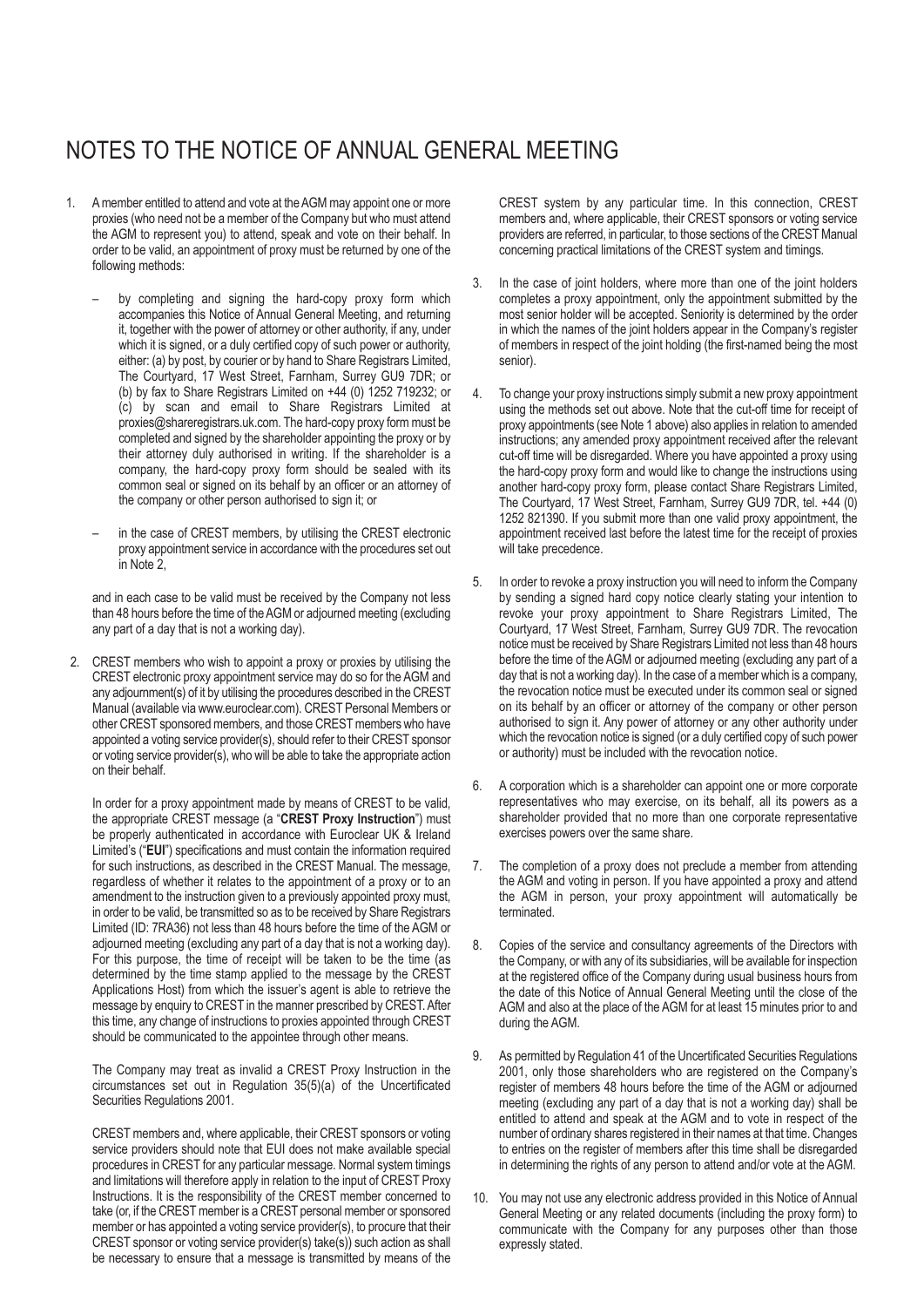# NOTES TO THE NOTICE OF ANNUAL GENERAL MEETING

- 1. A member entitled to attend and vote at the AGM may appoint one or more proxies (who need not be a member of the Company but who must attend the AGM to represent you) to attend, speak and vote on their behalf. In order to be valid, an appointment of proxy must be returned by one of the following methods:
	- by completing and signing the hard-copy proxy form which accompanies this Notice of Annual General Meeting, and returning it, together with the power of attorney or other authority, if any, under which it is signed, or a duly certified copy of such power or authority, either: (a) by post, by courier or by hand to Share Registrars Limited, The Courtyard, 17 West Street, Farnham, Surrey GU9 7DR; or (b) by fax to Share Registrars Limited on +44 (0) 1252 719232; or (c) by scan and email to Share Registrars Limited at proxies@shareregistrars.uk.com. The hard-copy proxy form must be completed and signed by the shareholder appointing the proxy or by their attorney duly authorised in writing. If the shareholder is a company, the hard-copy proxy form should be sealed with its common seal or signed on its behalf by an officer or an attorney of the company or other person authorised to sign it; or
	- in the case of CREST members, by utilising the CREST electronic proxy appointment service in accordance with the procedures set out in Note 2,

and in each case to be valid must be received by the Company not less than 48 hours before the time of the AGM or adjourned meeting (excluding any part of a day that is not a working day).

2. CREST members who wish to appoint a proxy or proxies by utilising the CREST electronic proxy appointment service may do so for the AGM and any adjournment(s) of it by utilising the procedures described in the CREST Manual (available via www.euroclear.com). CREST Personal Members or other CREST sponsored members, and those CREST members who have appointed a voting service provider(s), should refer to their CREST sponsor or voting service provider(s), who will be able to take the appropriate action on their behalf.

In order for a proxy appointment made by means of CREST to be valid, the appropriate CREST message (a "**CREST Proxy Instruction**") must be properly authenticated in accordance with Euroclear UK & Ireland Limited's ("**EUI**") specifications and must contain the information required for such instructions, as described in the CREST Manual. The message, regardless of whether it relates to the appointment of a proxy or to an amendment to the instruction given to a previously appointed proxy must, in order to be valid, be transmitted so as to be received by Share Registrars Limited (ID: 7RA36) not less than 48 hours before the time of the AGM or adjourned meeting (excluding any part of a day that is not a working day). For this purpose, the time of receipt will be taken to be the time (as determined by the time stamp applied to the message by the CREST Applications Host) from which the issuer's agent is able to retrieve the message by enquiry to CREST in the manner prescribed by CREST. After this time, any change of instructions to proxies appointed through CREST should be communicated to the appointee through other means.

The Company may treat as invalid a CREST Proxy Instruction in the circumstances set out in Regulation 35(5)(a) of the Uncertificated Securities Regulations 2001.

CREST members and, where applicable, their CREST sponsors or voting service providers should note that EUI does not make available special procedures in CREST for any particular message. Normal system timings and limitations will therefore apply in relation to the input of CREST Proxy Instructions. It is the responsibility of the CREST member concerned to take (or, if the CREST member is a CREST personal member or sponsored member or has appointed a voting service provider(s), to procure that their CREST sponsor or voting service provider(s) take(s)) such action as shall be necessary to ensure that a message is transmitted by means of the

CREST system by any particular time. In this connection, CREST members and, where applicable, their CREST sponsors or voting service providers are referred, in particular, to those sections of the CREST Manual concerning practical limitations of the CREST system and timings.

- 3. In the case of joint holders, where more than one of the joint holders completes a proxy appointment, only the appointment submitted by the most senior holder will be accepted. Seniority is determined by the order in which the names of the joint holders appear in the Company's register of members in respect of the joint holding (the first-named being the most senior).
- 4. To change your proxy instructions simply submit a new proxy appointment using the methods set out above. Note that the cut-off time for receipt of proxy appointments (see Note 1 above) also applies in relation to amended instructions; any amended proxy appointment received after the relevant cut-off time will be disregarded. Where you have appointed a proxy using the hard-copy proxy form and would like to change the instructions using another hard-copy proxy form, please contact Share Registrars Limited, The Courtyard, 17 West Street, Farnham, Surrey GU9 7DR, tel. +44 (0) 1252 821390. If you submit more than one valid proxy appointment, the appointment received last before the latest time for the receipt of proxies will take precedence.
- 5. In order to revoke a proxy instruction you will need to inform the Company by sending a signed hard copy notice clearly stating your intention to revoke your proxy appointment to Share Registrars Limited, The Courtyard, 17 West Street, Farnham, Surrey GU9 7DR. The revocation notice must be received by Share Registrars Limited not less than 48 hours before the time of the AGM or adjourned meeting (excluding any part of a day that is not a working day). In the case of a member which is a company, the revocation notice must be executed under its common seal or signed on its behalf by an officer or attorney of the company or other person authorised to sign it. Any power of attorney or any other authority under which the revocation notice is signed (or a duly certified copy of such power or authority) must be included with the revocation notice.
- 6. A corporation which is a shareholder can appoint one or more corporate representatives who may exercise, on its behalf, all its powers as a shareholder provided that no more than one corporate representative exercises powers over the same share.
- 7. The completion of a proxy does not preclude a member from attending the AGM and voting in person. If you have appointed a proxy and attend the AGM in person, your proxy appointment will automatically be terminated.
- 8. Copies of the service and consultancy agreements of the Directors with the Company, or with any of its subsidiaries, will be available for inspection at the registered office of the Company during usual business hours from the date of this Notice of Annual General Meeting until the close of the AGM and also at the place of the AGM for at least 15 minutes prior to and during the AGM.
- 9. As permitted by Regulation 41 of the Uncertificated Securities Regulations 2001, only those shareholders who are registered on the Company's register of members 48 hours before the time of the AGM or adjourned meeting (excluding any part of a day that is not a working day) shall be entitled to attend and speak at the AGM and to vote in respect of the number of ordinary shares registered in their names at that time. Changes to entries on the register of members after this time shall be disregarded in determining the rights of any person to attend and/or vote at the AGM.
- 10. You may not use any electronic address provided in this Notice of Annual General Meeting or any related documents (including the proxy form) to communicate with the Company for any purposes other than those expressly stated.